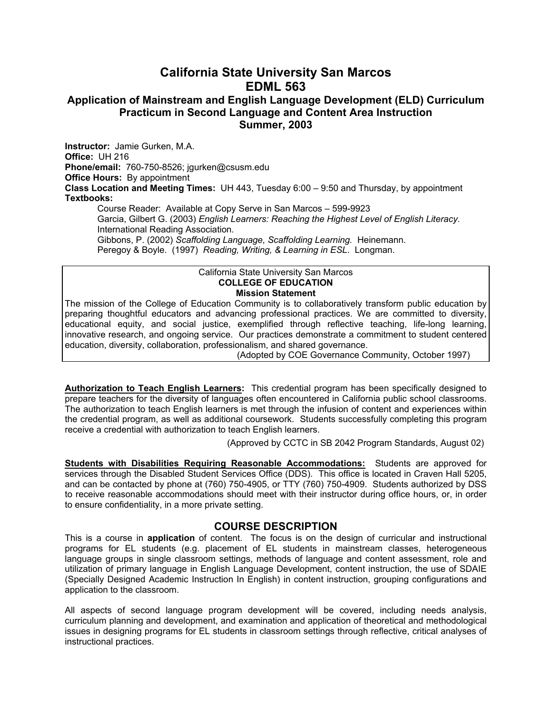# **California State University San Marcos EDML 563**

### **Application of Mainstream and English Language Development (ELD) Curriculum Practicum in Second Language and Content Area Instruction Summer, 2003**

**Instructor:** Jamie Gurken, M.A. **Office:** UH 216 **Phone/email:** 760-750-8526; jgurken@csusm.edu **Office Hours:** By appointment **Class Location and Meeting Times:** UH 443, Tuesday 6:00 – 9:50 and Thursday, by appointment **Textbooks:** 

Course Reader: Available at Copy Serve in San Marcos – 599-9923 Garcia, Gilbert G. (2003) *English Learners: Reaching the Highest Level of English Literacy.*  International Reading Association*.* Gibbons, P. (2002) *Scaffolding Language, Scaffolding Learning.* Heinemann.

Peregoy & Boyle. (1997) *Reading, Writing, & Learning in ESL*. Longman.

#### California State University San Marcos **COLLEGE OF EDUCATION Mission Statement**

The mission of the College of Education Community is to collaboratively transform public education by preparing thoughtful educators and advancing professional practices. We are committed to diversity, educational equity, and social justice, exemplified through reflective teaching, life-long learning, innovative research, and ongoing service. Our practices demonstrate a commitment to student centered education, diversity, collaboration, professionalism, and shared governance.

(Adopted by COE Governance Community, October 1997)

**Authorization to Teach English Learners:** This credential program has been specifically designed to prepare teachers for the diversity of languages often encountered in California public school classrooms. The authorization to teach English learners is met through the infusion of content and experiences within the credential program, as well as additional coursework. Students successfully completing this program receive a credential with authorization to teach English learners.

(Approved by CCTC in SB 2042 Program Standards, August 02)

**Students with Disabilities Requiring Reasonable Accommodations:** Students are approved for services through the Disabled Student Services Office (DDS). This office is located in Craven Hall 5205, and can be contacted by phone at (760) 750-4905, or TTY (760) 750-4909. Students authorized by DSS to receive reasonable accommodations should meet with their instructor during office hours, or, in order to ensure confidentiality, in a more private setting.

### **COURSE DESCRIPTION**

This is a course in **application** of content. The focus is on the design of curricular and instructional programs for EL students (e.g. placement of EL students in mainstream classes, heterogeneous language groups in single classroom settings, methods of language and content assessment, role and utilization of primary language in English Language Development, content instruction, the use of SDAIE (Specially Designed Academic Instruction In English) in content instruction, grouping configurations and application to the classroom.

All aspects of second language program development will be covered, including needs analysis, curriculum planning and development, and examination and application of theoretical and methodological issues in designing programs for EL students in classroom settings through reflective, critical analyses of instructional practices.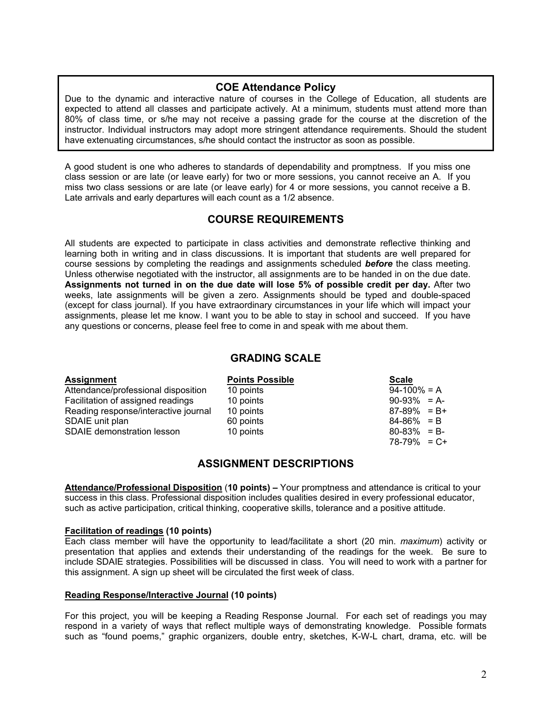### **COE Attendance Policy**

Due to the dynamic and interactive nature of courses in the College of Education, all students are expected to attend all classes and participate actively. At a minimum, students must attend more than 80% of class time, or s/he may not receive a passing grade for the course at the discretion of the instructor. Individual instructors may adopt more stringent attendance requirements. Should the student have extenuating circumstances, s/he should contact the instructor as soon as possible.

A good student is one who adheres to standards of dependability and promptness. If you miss one class session or are late (or leave early) for two or more sessions, you cannot receive an A. If you miss two class sessions or are late (or leave early) for 4 or more sessions, you cannot receive a B. Late arrivals and early departures will each count as a 1/2 absence.

### **COURSE REQUIREMENTS**

All students are expected to participate in class activities and demonstrate reflective thinking and learning both in writing and in class discussions. It is important that students are well prepared for course sessions by completing the readings and assignments scheduled *before* the class meeting. Unless otherwise negotiated with the instructor, all assignments are to be handed in on the due date. **Assignments not turned in on the due date will lose 5% of possible credit per day.** After two weeks, late assignments will be given a zero. Assignments should be typed and double-spaced (except for class journal). If you have extraordinary circumstances in your life which will impact your assignments, please let me know. I want you to be able to stay in school and succeed. If you have any questions or concerns, please feel free to come in and speak with me about them.

### **GRADING SCALE**

| <b>Assignment</b>                    | <b>Points Possible</b> | <b>Scale</b>    |
|--------------------------------------|------------------------|-----------------|
| Attendance/professional disposition  | 10 points              | $94-100\% = A$  |
| Facilitation of assigned readings    | 10 points              | $90-93\% = A$   |
| Reading response/interactive journal | 10 points              | $87-89\% = B+$  |
| SDAIE unit plan                      | 60 points              | $84-86\% = B$   |
| <b>SDAIE demonstration lesson</b>    | 10 points              | $80-83\% = B$   |
|                                      |                        | $78-79\% = C +$ |

### **ASSIGNMENT DESCRIPTIONS**

**Attendance/Professional Disposition** (**10 points) –** Your promptness and attendance is critical to your success in this class. Professional disposition includes qualities desired in every professional educator, such as active participation, critical thinking, cooperative skills, tolerance and a positive attitude.

#### **Facilitation of readings (10 points)**

Each class member will have the opportunity to lead/facilitate a short (20 min. *maximum*) activity or presentation that applies and extends their understanding of the readings for the week. Be sure to include SDAIE strategies. Possibilities will be discussed in class. You will need to work with a partner for this assignment. A sign up sheet will be circulated the first week of class.

#### **Reading Response/Interactive Journal (10 points)**

For this project, you will be keeping a Reading Response Journal. For each set of readings you may respond in a variety of ways that reflect multiple ways of demonstrating knowledge. Possible formats such as "found poems," graphic organizers, double entry, sketches, K-W-L chart, drama, etc. will be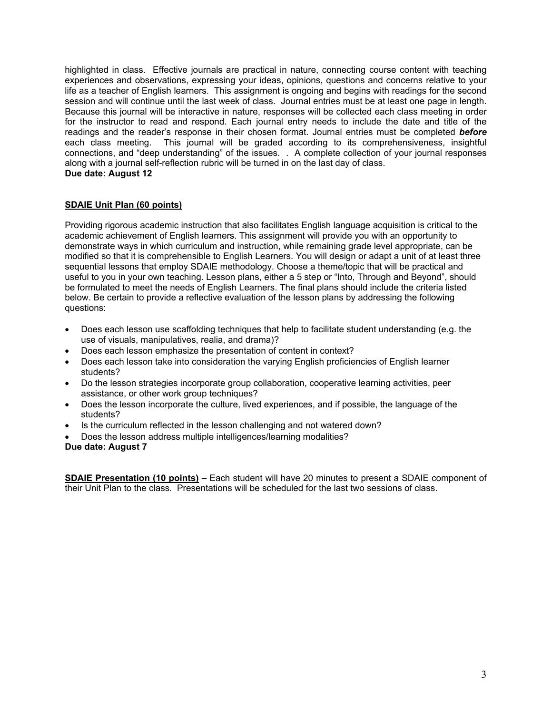highlighted in class. Effective journals are practical in nature, connecting course content with teaching experiences and observations, expressing your ideas, opinions, questions and concerns relative to your life as a teacher of English learners. This assignment is ongoing and begins with readings for the second session and will continue until the last week of class. Journal entries must be at least one page in length. Because this journal will be interactive in nature, responses will be collected each class meeting in order for the instructor to read and respond. Each journal entry needs to include the date and title of the readings and the reader's response in their chosen format. Journal entries must be completed *before* each class meeting. This journal will be graded according to its comprehensiveness, insightful connections, and "deep understanding" of the issues. . A complete collection of your journal responses along with a journal self-reflection rubric will be turned in on the last day of class. **Due date: August 12**

#### **SDAIE Unit Plan (60 points)**

Providing rigorous academic instruction that also facilitates English language acquisition is critical to the academic achievement of English learners. This assignment will provide you with an opportunity to demonstrate ways in which curriculum and instruction, while remaining grade level appropriate, can be modified so that it is comprehensible to English Learners. You will design or adapt a unit of at least three sequential lessons that employ SDAIE methodology. Choose a theme/topic that will be practical and useful to you in your own teaching. Lesson plans, either a 5 step or "Into, Through and Beyond", should be formulated to meet the needs of English Learners. The final plans should include the criteria listed below. Be certain to provide a reflective evaluation of the lesson plans by addressing the following questions:

- Does each lesson use scaffolding techniques that help to facilitate student understanding (e.g. the use of visuals, manipulatives, realia, and drama)?
- Does each lesson emphasize the presentation of content in context?
- Does each lesson take into consideration the varying English proficiencies of English learner students?
- Do the lesson strategies incorporate group collaboration, cooperative learning activities, peer assistance, or other work group techniques?
- Does the lesson incorporate the culture, lived experiences, and if possible, the language of the students?
- Is the curriculum reflected in the lesson challenging and not watered down?
- Does the lesson address multiple intelligences/learning modalities?

#### **Due date: August 7**

**SDAIE Presentation (10 points) –** Each student will have 20 minutes to present a SDAIE component of their Unit Plan to the class. Presentations will be scheduled for the last two sessions of class.